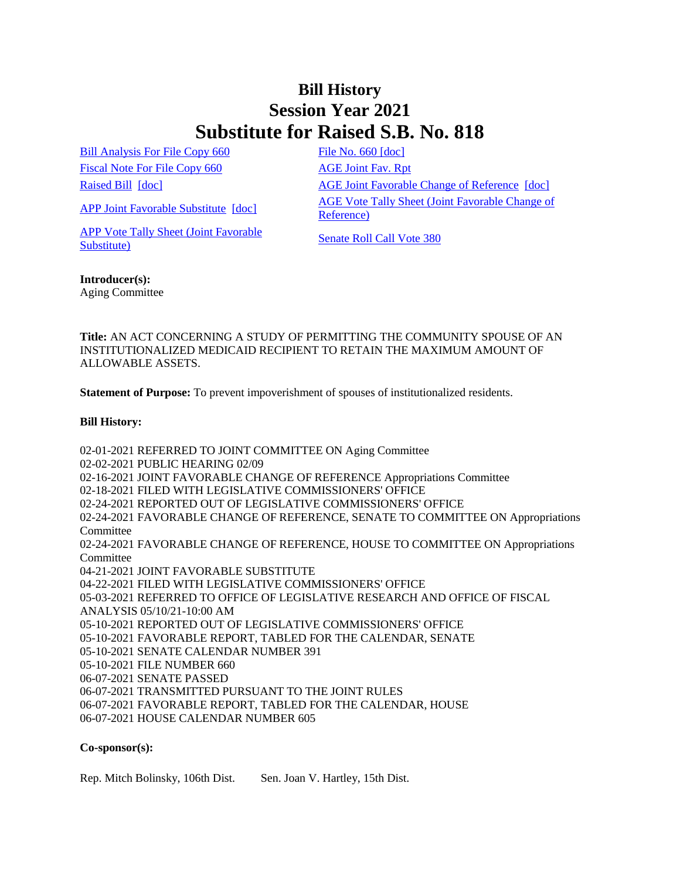## **Bill History Session Year 2021 Substitute for Raised S.B. No. 818**

[Bill Analysis For File Copy 660](/2021/BA/PDF/2021SB-00818-R000660-BA.PDF) [File No. 660](/2021/FC/PDF/2021SB-00818-R000660-FC.PDF) [\[doc\]](/2021/FC/PDF/2021SB-00818-R000660-FC.PDF) [Fiscal Note For File Copy 660](/2021/FN/PDF/2021SB-00818-R000660-FN.PDF) [AGE Joint Fav. Rpt](/2021/JFR/S/PDF/2021SB-00818-R00AGE-JFR.PDF)

[APP Vote Tally Sheet \(Joint Favorable](/2021/TS/S/PDF/2021SB-00818-R00APP-CV45-TS.PDF)  **Substitute**) Substitute Substitute Senate Roll Call Vote 380

[Raised Bill](/2021/TOB/S/PDF/2021SB-00818-R00-SB.PDF) [\[doc\]](https://search.cga.state.ct.us/dl2021/TOB/DOC/2021SB-00818-R01-SB.DOCX) **AGE Joint Favorable Change of Reference** [doc] [APP Joint Favorable Substitute](/2021/TOB/S/PDF/2021SB-00818-R02-SB.PDF) [\[doc\]](https://search.cga.state.ct.us/dl2021/TOB/DOC/2021SB-00818-R02-SB.DOCX) AGE Vote Tally Sheet (Joint Favorable Change of [Reference\)](/2021/TS/S/PDF/2021SB-00818-R00AGE-CV14-TS.PDF)

## **Introducer(s):**

Aging Committee

**Title:** AN ACT CONCERNING A STUDY OF PERMITTING THE COMMUNITY SPOUSE OF AN INSTITUTIONALIZED MEDICAID RECIPIENT TO RETAIN THE MAXIMUM AMOUNT OF ALLOWABLE ASSETS.

**Statement of Purpose:** To prevent impoverishment of spouses of institutionalized residents.

## **Bill History:**

02-01-2021 REFERRED TO JOINT COMMITTEE ON Aging Committee 02-02-2021 PUBLIC HEARING 02/09 02-16-2021 JOINT FAVORABLE CHANGE OF REFERENCE Appropriations Committee 02-18-2021 FILED WITH LEGISLATIVE COMMISSIONERS' OFFICE 02-24-2021 REPORTED OUT OF LEGISLATIVE COMMISSIONERS' OFFICE 02-24-2021 FAVORABLE CHANGE OF REFERENCE, SENATE TO COMMITTEE ON Appropriations Committee 02-24-2021 FAVORABLE CHANGE OF REFERENCE, HOUSE TO COMMITTEE ON Appropriations Committee 04-21-2021 JOINT FAVORABLE SUBSTITUTE 04-22-2021 FILED WITH LEGISLATIVE COMMISSIONERS' OFFICE 05-03-2021 REFERRED TO OFFICE OF LEGISLATIVE RESEARCH AND OFFICE OF FISCAL ANALYSIS 05/10/21-10:00 AM 05-10-2021 REPORTED OUT OF LEGISLATIVE COMMISSIONERS' OFFICE 05-10-2021 FAVORABLE REPORT, TABLED FOR THE CALENDAR, SENATE 05-10-2021 SENATE CALENDAR NUMBER 391 05-10-2021 FILE NUMBER 660 06-07-2021 SENATE PASSED 06-07-2021 TRANSMITTED PURSUANT TO THE JOINT RULES 06-07-2021 FAVORABLE REPORT, TABLED FOR THE CALENDAR, HOUSE 06-07-2021 HOUSE CALENDAR NUMBER 605

## **Co-sponsor(s):**

Rep. Mitch Bolinsky, 106th Dist. Sen. Joan V. Hartley, 15th Dist.